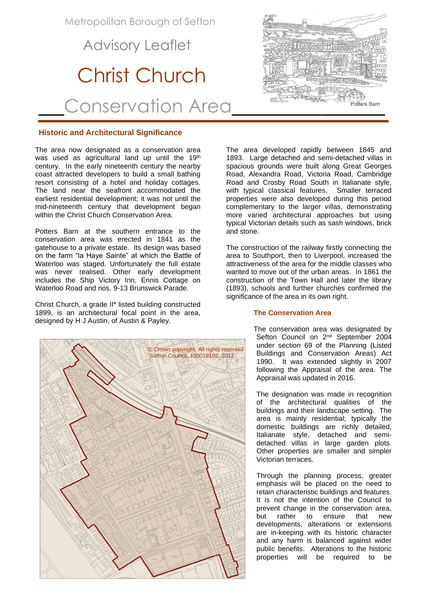Metropolitan Borough of Sefton

## Advisory Leaflet

# Christ Church

\_\_Conservation Area\_\_\_\_\_\_\_\_\_\_\_\_

#### **Historic and Architectural Significance**

The area now designated as a conservation area was used as agricultural land up until the 19<sup>th</sup> century. In the early nineteenth century the nearby coast attracted developers to build a small bathing resort consisting of a hotel and holiday cottages. The land near the seafront accommodated the earliest residential development; it was not until the mid-nineteenth century that development began within the Christ Church Conservation Area.

Potters Barn at the southern entrance to the conservation area was erected in 1841 as the gatehouse to a private estate. Its design was based on the farm "la Haye Sainte" at which the Battle of Waterloo was staged. Unfortunately the full estate was never realised. Other early development includes the Ship Victory Inn, Ennis Cottage on Waterloo Road and nos. 9-13 Brunswick Parade.

Christ Church, a grade II\* listed building constructed 1899, is an architectural focal point in the area, designed by H J Austin, of Austin & Payley.





The area developed rapidly between 1845 and 1893. Large detached and semi-detached villas in spacious grounds were built along Great Georges Road, Alexandra Road, Victoria Road, Cambridge Road and Crosby Road South in Italianate style, with typical classical features. Smaller terraced properties were also developed during this period complementary to the larger villas, demonstrating more varied architectural approaches but using typical Victorian details such as sash windows, brick and stone.

The construction of the railway firstly connecting the area to Southport, then to Liverpool, increased the attractiveness of the area for the middle classes who wanted to move out of the urban areas. In 1861 the construction of the Town Hall and later the library (1893), schools and further churches confirmed the significance of the area in its own right.

#### **The Conservation Area**

 The conservation area was designated by Sefton Council on 2<sup>nd</sup> September 2004 under section 69 of the Planning (Listed Buildings and Conservation Areas) Act 1990. It was extended slightly in 2007 following the Appraisal of the area. The Appraisal was updated in 2016.

The designation was made in recognition of the architectural qualities of the buildings and their landscape setting. The area is mainly residential; typically the domestic buildings are richly detailed, Italianate style, detached and semidetached villas in large garden plots. Other properties are smaller and simpler Victorian terraces.

Through the planning process, greater emphasis will be placed on the need to retain characteristic buildings and features. It is not the intention of the Council to prevent change in the conservation area, but rather to ensure that new developments, alterations or extensions are in-keeping with its historic character and any harm is balanced against wider public benefits. Alterations to the historic properties will be required to be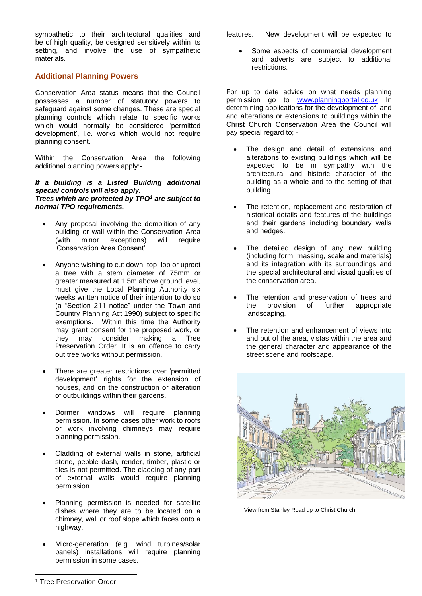sympathetic to their architectural qualities and features. New development will be expected to be of high quality, be designed sensitively within its setting, and involve the use of sympathetic materials.

#### **Additional Planning Powers**

Conservation Area status means that the Council possesses a number of statutory powers to safeguard against some changes. These are special planning controls which relate to specific works which would normally be considered 'permitted development', i.e. works which would not require planning consent.

Within the Conservation Area the following additional planning powers apply:-

#### *If a building is a Listed Building additional special controls will also apply. Trees which are protected by TPO<sup>1</sup> are subject to normal TPO requirements.*

- Any proposal involving the demolition of any building or wall within the Conservation Area (with minor exceptions) will require 'Conservation Area Consent'.
- Anyone wishing to cut down, top, lop or uproot a tree with a stem diameter of 75mm or greater measured at 1.5m above ground level, must give the Local Planning Authority six weeks written notice of their intention to do so (a "Section 211 notice" under the Town and Country Planning Act 1990) subject to specific exemptions. Within this time the Authority may grant consent for the proposed work, or they may consider making a Tree Preservation Order. It is an offence to carry out tree works without permission.
- There are greater restrictions over 'permitted development' rights for the extension of houses, and on the construction or alteration of outbuildings within their gardens.
- Dormer windows will require planning permission. In some cases other work to roofs or work involving chimneys may require planning permission.
- Cladding of external walls in stone, artificial stone, pebble dash, render, timber, plastic or tiles is not permitted. The cladding of any part of external walls would require planning permission.
- Planning permission is needed for satellite dishes where they are to be located on a chimney, wall or roof slope which faces onto a highway.
- Micro-generation (e.g. wind turbines/solar panels) installations will require planning permission in some cases.

• Some aspects of commercial development and adverts are subject to additional restrictions.

For up to date advice on what needs planning permission go to [www.planningportal.co.uk](http://www.planningportal.co.uk/) In determining applications for the development of land and alterations or extensions to buildings within the Christ Church Conservation Area the Council will pay special regard to; -

- The design and detail of extensions and alterations to existing buildings which will be expected to be in sympathy with the architectural and historic character of the building as a whole and to the setting of that building.
- The retention, replacement and restoration of historical details and features of the buildings and their gardens including boundary walls and hedges.
- The detailed design of any new building (including form, massing, scale and materials) and its integration with its surroundings and the special architectural and visual qualities of the conservation area.
- The retention and preservation of trees and the provision of further appropriate landscaping.
- The retention and enhancement of views into and out of the area, vistas within the area and the general character and appearance of the street scene and roofscape.



View from Stanley Road up to Christ Church

<sup>1</sup> Tree Preservation Order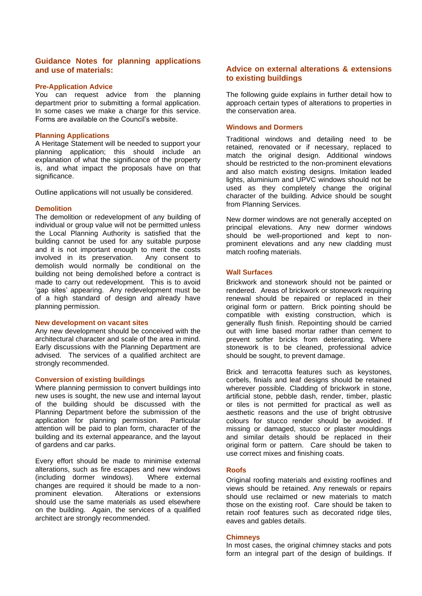#### **Guidance Notes for planning applications and use of materials:**

#### **Pre-Application Advice**

You can request advice from the planning department prior to submitting a formal application. In some cases we make a charge for this service. Forms are available on the Council's website.

#### **Planning Applications**

A Heritage Statement will be needed to support your planning application; this should include an explanation of what the significance of the property is, and what impact the proposals have on that significance.

Outline applications will not usually be considered.

#### **Demolition**

The demolition or redevelopment of any building of individual or group value will not be permitted unless the Local Planning Authority is satisfied that the building cannot be used for any suitable purpose and it is not important enough to merit the costs involved in its preservation. Any consent to demolish would normally be conditional on the building not being demolished before a contract is made to carry out redevelopment. This is to avoid 'gap sites' appearing. Any redevelopment must be of a high standard of design and already have planning permission.

#### **New development on vacant sites**

Any new development should be conceived with the architectural character and scale of the area in mind. Early discussions with the Planning Department are advised. The services of a qualified architect are strongly recommended.

#### **Conversion of existing buildings**

Where planning permission to convert buildings into new uses is sought, the new use and internal layout of the building should be discussed with the Planning Department before the submission of the application for planning permission. Particular attention will be paid to plan form, character of the building and its external appearance, and the layout of gardens and car parks.

Every effort should be made to minimise external alterations, such as fire escapes and new windows (including dormer windows). Where external changes are required it should be made to a non-<br>prominent elevation. Alterations or extensions Alterations or extensions should use the same materials as used elsewhere on the building. Again, the services of a qualified architect are strongly recommended.

#### **Advice on external alterations & extensions to existing buildings**

The following guide explains in further detail how to approach certain types of alterations to properties in the conservation area.

#### **Windows and Dormers**

Traditional windows and detailing need to be retained, renovated or if necessary, replaced to match the original design. Additional windows should be restricted to the non-prominent elevations and also match existing designs. Imitation leaded lights, aluminium and UPVC windows should not be used as they completely change the original character of the building. Advice should be sought from Planning Services.

New dormer windows are not generally accepted on principal elevations. Any new dormer windows should be well-proportioned and kept to nonprominent elevations and any new cladding must match roofing materials.

#### **Wall Surfaces**

Brickwork and stonework should not be painted or rendered. Areas of brickwork or stonework requiring renewal should be repaired or replaced in their original form or pattern. Brick pointing should be compatible with existing construction, which is generally flush finish. Repointing should be carried out with lime based mortar rather than cement to prevent softer bricks from deteriorating. Where stonework is to be cleaned, professional advice should be sought, to prevent damage.

Brick and terracotta features such as keystones, corbels, finials and leaf designs should be retained wherever possible. Cladding of brickwork in stone, artificial stone, pebble dash, render, timber, plastic or tiles is not permitted for practical as well as aesthetic reasons and the use of bright obtrusive colours for stucco render should be avoided. If missing or damaged, stucco or plaster mouldings and similar details should be replaced in their original form or pattern. Care should be taken to use correct mixes and finishing coats.

#### **Roofs**

Original roofing materials and existing rooflines and views should be retained. Any renewals or repairs should use reclaimed or new materials to match those on the existing roof. Care should be taken to retain roof features such as decorated ridge tiles, eaves and gables details.

#### **Chimneys**

In most cases, the original chimney stacks and pots form an integral part of the design of buildings. If